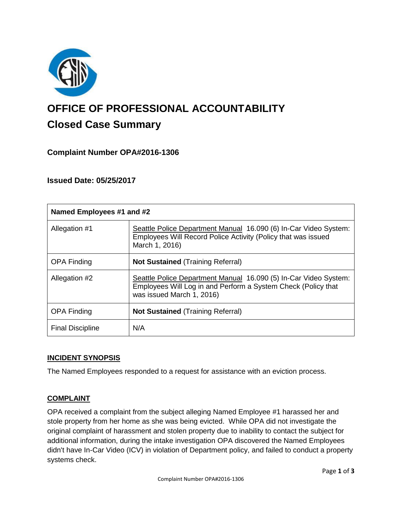

# **OFFICE OF PROFESSIONAL ACCOUNTABILITY Closed Case Summary**

# **Complaint Number OPA#2016-1306**

## **Issued Date: 05/25/2017**

| Named Employees #1 and #2 |                                                                                                                                                                |
|---------------------------|----------------------------------------------------------------------------------------------------------------------------------------------------------------|
| Allegation #1             | Seattle Police Department Manual 16.090 (6) In-Car Video System:<br>Employees Will Record Police Activity (Policy that was issued<br>March 1, 2016)            |
| <b>OPA Finding</b>        | <b>Not Sustained (Training Referral)</b>                                                                                                                       |
| Allegation #2             | Seattle Police Department Manual 16.090 (5) In-Car Video System:<br>Employees Will Log in and Perform a System Check (Policy that<br>was issued March 1, 2016) |
| <b>OPA Finding</b>        | <b>Not Sustained (Training Referral)</b>                                                                                                                       |
| <b>Final Discipline</b>   | N/A                                                                                                                                                            |

#### **INCIDENT SYNOPSIS**

The Named Employees responded to a request for assistance with an eviction process.

## **COMPLAINT**

OPA received a complaint from the subject alleging Named Employee #1 harassed her and stole property from her home as she was being evicted. While OPA did not investigate the original complaint of harassment and stolen property due to inability to contact the subject for additional information, during the intake investigation OPA discovered the Named Employees didn't have In-Car Video (ICV) in violation of Department policy, and failed to conduct a property systems check.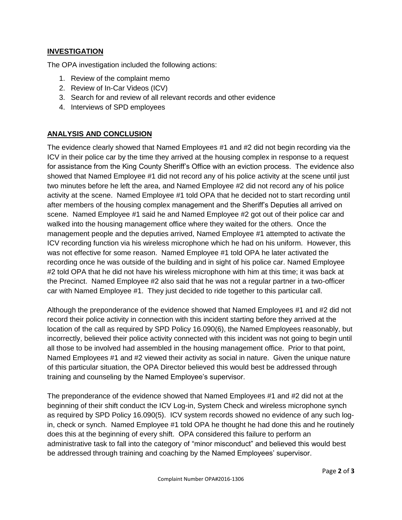### **INVESTIGATION**

The OPA investigation included the following actions:

- 1. Review of the complaint memo
- 2. Review of In-Car Videos (ICV)
- 3. Search for and review of all relevant records and other evidence
- 4. Interviews of SPD employees

## **ANALYSIS AND CONCLUSION**

The evidence clearly showed that Named Employees #1 and #2 did not begin recording via the ICV in their police car by the time they arrived at the housing complex in response to a request for assistance from the King County Sheriff's Office with an eviction process. The evidence also showed that Named Employee #1 did not record any of his police activity at the scene until just two minutes before he left the area, and Named Employee #2 did not record any of his police activity at the scene. Named Employee #1 told OPA that he decided not to start recording until after members of the housing complex management and the Sheriff's Deputies all arrived on scene. Named Employee #1 said he and Named Employee #2 got out of their police car and walked into the housing management office where they waited for the others. Once the management people and the deputies arrived, Named Employee #1 attempted to activate the ICV recording function via his wireless microphone which he had on his uniform. However, this was not effective for some reason. Named Employee #1 told OPA he later activated the recording once he was outside of the building and in sight of his police car. Named Employee #2 told OPA that he did not have his wireless microphone with him at this time; it was back at the Precinct. Named Employee #2 also said that he was not a regular partner in a two-officer car with Named Employee #1. They just decided to ride together to this particular call.

Although the preponderance of the evidence showed that Named Employees #1 and #2 did not record their police activity in connection with this incident starting before they arrived at the location of the call as required by SPD Policy 16.090(6), the Named Employees reasonably, but incorrectly, believed their police activity connected with this incident was not going to begin until all those to be involved had assembled in the housing management office. Prior to that point, Named Employees #1 and #2 viewed their activity as social in nature. Given the unique nature of this particular situation, the OPA Director believed this would best be addressed through training and counseling by the Named Employee's supervisor.

The preponderance of the evidence showed that Named Employees #1 and #2 did not at the beginning of their shift conduct the ICV Log-in, System Check and wireless microphone synch as required by SPD Policy 16.090(5). ICV system records showed no evidence of any such login, check or synch. Named Employee #1 told OPA he thought he had done this and he routinely does this at the beginning of every shift. OPA considered this failure to perform an administrative task to fall into the category of "minor misconduct" and believed this would best be addressed through training and coaching by the Named Employees' supervisor.